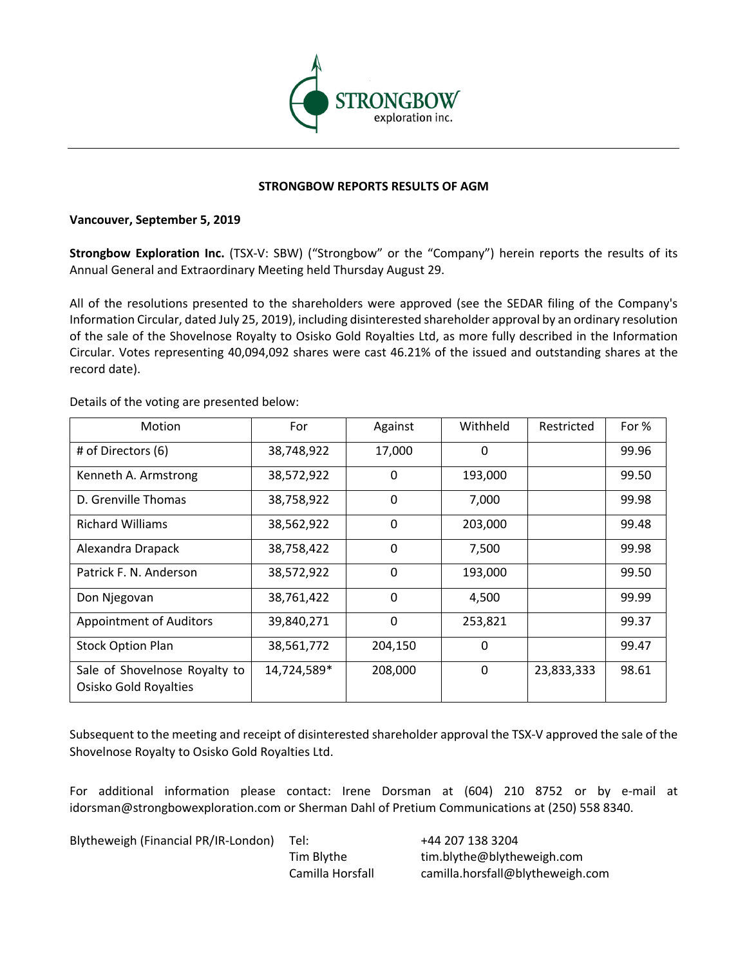

## **STRONGBOW REPORTS RESULTS OF AGM**

## **Vancouver, September 5, 2019**

**Strongbow Exploration Inc.** (TSX-V: SBW) ("Strongbow" or the "Company") herein reports the results of its Annual General and Extraordinary Meeting held Thursday August 29.

All of the resolutions presented to the shareholders were approved (see the SEDAR filing of the Company's Information Circular, dated July 25, 2019), including disinterested shareholder approval by an ordinary resolution of the sale of the Shovelnose Royalty to Osisko Gold Royalties Ltd, as more fully described in the Information Circular. Votes representing 40,094,092 shares were cast 46.21% of the issued and outstanding shares at the record date).

| Motion                                                 | For         | Against      | Withheld | Restricted | For % |
|--------------------------------------------------------|-------------|--------------|----------|------------|-------|
| # of Directors (6)                                     | 38,748,922  | 17,000       | 0        |            | 99.96 |
| Kenneth A. Armstrong                                   | 38,572,922  | 0            | 193,000  |            | 99.50 |
| D. Grenville Thomas                                    | 38,758,922  | $\mathbf{0}$ | 7,000    |            | 99.98 |
| <b>Richard Williams</b>                                | 38,562,922  | $\mathbf{0}$ | 203,000  |            | 99.48 |
| Alexandra Drapack                                      | 38,758,422  | $\mathbf{0}$ | 7,500    |            | 99.98 |
| Patrick F. N. Anderson                                 | 38,572,922  | 0            | 193,000  |            | 99.50 |
| Don Njegovan                                           | 38,761,422  | $\mathbf{0}$ | 4,500    |            | 99.99 |
| <b>Appointment of Auditors</b>                         | 39,840,271  | $\mathbf{0}$ | 253,821  |            | 99.37 |
| <b>Stock Option Plan</b>                               | 38,561,772  | 204,150      | 0        |            | 99.47 |
| Sale of Shovelnose Royalty to<br>Osisko Gold Royalties | 14,724,589* | 208,000      | 0        | 23,833,333 | 98.61 |

Details of the voting are presented below:

Subsequent to the meeting and receipt of disinterested shareholder approval the TSX-V approved the sale of the Shovelnose Royalty to Osisko Gold Royalties Ltd.

For additional information please contact: Irene Dorsman at (604) 210 8752 or by e-mail at idorsman@strongbowexploration.com or Sherman Dahl of Pretium Communications at (250) 558 8340.

Blytheweigh (Financial PR/IR-London) Tel: +44 207 138 3204

Tim Blythe tim.blythe@blytheweigh.com Camilla Horsfall camilla.horsfall@blytheweigh.com